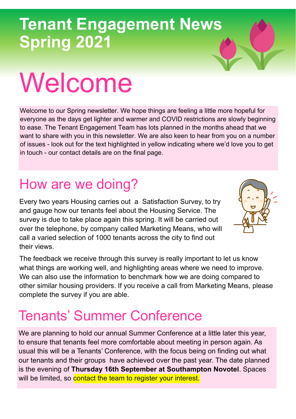# Welcome

Welcome to our Spring newsletter. We hope things are feeling a little more hopeful for everyone as the days get lighter and warmer and COVID restrictions are slowly beginning to ease. The Tenant Engagement Team has lots planned in the months ahead that we want to share with you in this newsletter. We are also keen to hear from you on a number of issues - look out for the text highlighted in yellow indicating where we'd love you to get in touch - our contact details are on the final page.

#### How are we doing?

Every two years Housing carries out a Satisfaction Survey, to try and gauge how our tenants feel about the Housing Service. The survey is due to take place again this spring. It will be carried out over the telephone, by company called Marketing Means, who will call a varied selection of 1000 tenants across the city to find out their views.

The feedback we receive through this survey is really important to let us know what things are working well, and highlighting areas where we need to improve. We can also use the information to benchmark how we are doing compared to other similar housing providers. If you receive a call from Marketing Means, please complete the survey if you are able.

#### Tenants' Summer Conference

We are planning to hold our annual Summer Conference at a little later this year, to ensure that tenants feel more comfortable about meeting in person again. As usual this will be a Tenants' Conference, with the focus being on finding out what our tenants and their groups have achieved over the past year. The date planned is the evening of **Thursday 16th September at Southampton Novotel**. Spaces will be limited, so contact the team to register your interest.

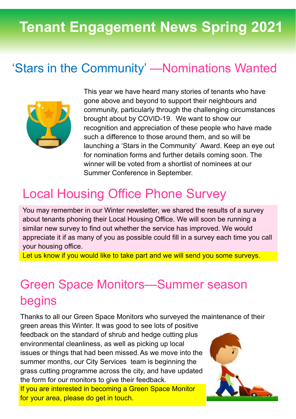#### 'Stars in the Community' —Nominations Wanted



This year we have heard many stories of tenants who have gone above and beyond to support their neighbours and community, particularly through the challenging circumstances brought about by COVID-19. We want to show our recognition and appreciation of these people who have made such a difference to those around them, and so will be launching a 'Stars in the Community' Award. Keep an eye out for nomination forms and further details coming soon. The winner will be voted from a shortlist of nominees at our Summer Conference in September.

#### Local Housing Office Phone Survey

You may remember in our Winter newsletter, we shared the results of a survey about tenants phoning their Local Housing Office. We will soon be running a similar new survey to find out whether the service has improved. We would appreciate it if as many of you as possible could fill in a survey each time you call your housing office.

Let us know if you would like to take part and we will send you some surveys.

#### Green Space Monitors—Summer season begins

Thanks to all our Green Space Monitors who surveyed the maintenance of their

green areas this Winter. It was good to see lots of positive feedback on the standard of shrub and hedge cutting plus environmental cleanliness, as well as picking up local issues or things that had been missed.As we move into the summer months, our City Services team is beginning the grass cutting programme across the city, and have updated the form for our monitors to give their feedback.

If you are interested in becoming a Green Space Monitor for your area, please do get in touch.

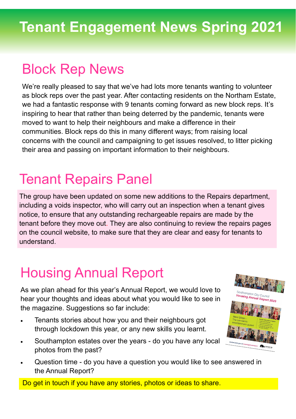#### Block Rep News

We're really pleased to say that we've had lots more tenants wanting to volunteer as block reps over the past year. After contacting residents on the Northam Estate, we had a fantastic response with 9 tenants coming forward as new block reps. It's inspiring to hear that rather than being deterred by the pandemic, tenants were moved to want to help their neighbours and make a difference in their communities. Block reps do this in many different ways; from raising local concerns with the council and campaigning to get issues resolved, to litter picking their area and passing on important information to their neighbours.

#### Tenant Repairs Panel

The group have been updated on some new additions to the Repairs department, including a voids inspector, who will carry out an inspection when a tenant gives notice, to ensure that any outstanding rechargeable repairs are made by the tenant before they move out. They are also continuing to review the repairs pages on the council website, to make sure that they are clear and easy for tenants to understand.

#### Housing Annual Report

As we plan ahead for this year's Annual Report, we would love to hear your thoughts and ideas about what you would like to see in the magazine. Suggestions so far include:

- Tenants stories about how you and their neighbours got through lockdown this year, or any new skills you learnt.
- Southampton estates over the years do you have any local photos from the past?
- **uthampton City Co**<br>**Pusing App...**
- Question time do you have a question you would like to see answered in the Annual Report?

Do get in touch if you have any stories, photos or ideas to share.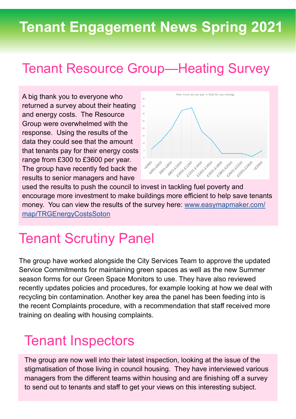#### Tenant Resource Group—Heating Survey

A big thank you to everyone who returned a survey about their heating and energy costs. The Resource Group were overwhelmed with the response. Using the results of the data they could see that the amount that tenants pay for their energy costs range from £300 to £3600 per year. The group have recently fed back the results to senior managers and have



used the results to push the council to invest in tackling fuel poverty and encourage more investment to make buildings more efficient to help save tenants money. You can view the results of the survey here: [www.easymapmaker.com/](https://www.easymapmaker.com/map/TRGEnergyCostsSoton) [map/TRGEnergyCostsSoton](https://www.easymapmaker.com/map/TRGEnergyCostsSoton)

#### Tenant Scrutiny Panel

The group have worked alongside the City Services Team to approve the updated Service Commitments for maintaining green spaces as well as the new Summer season forms for our Green Space Monitors to use. They have also reviewed recently updates policies and procedures, for example looking at how we deal with recycling bin contamination. Another key area the panel has been feeding into is the recent Complaints procedure, with a recommendation that staff received more training on dealing with housing complaints.

#### Tenant Inspectors

The group are now well into their latest inspection, looking at the issue of the stigmatisation of those living in council housing. They have interviewed various managers from the different teams within housing and are finishing off a survey to send out to tenants and staff to get your views on this interesting subject.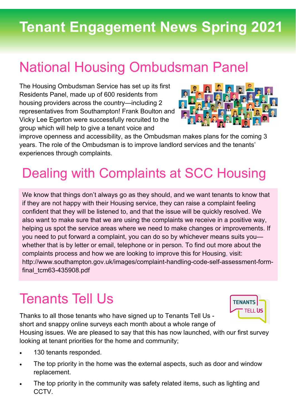#### National Housing Ombudsman Panel

The Housing Ombudsman Service has set up its first Residents Panel, made up of 600 residents from housing providers across the country—including 2 representatives from Southampton! Frank Boulton and Vicky Lee Egerton were successfully recruited to the group which will help to give a tenant voice and



improve openness and accessibility, as the Ombudsman makes plans for the coming 3 years. The role of the Ombudsman is to improve landlord services and the tenants' experiences through complaints.

### Dealing with Complaints at SCC Housing

We know that things don't always go as they should, and we want tenants to know that if they are not happy with their Housing service, they can raise a complaint feeling confident that they will be listened to, and that the issue will be quickly resolved. We also want to make sure that we are using the complaints we receive in a positive way, helping us spot the service areas where we need to make changes or improvements. If you need to put forward a complaint, you can do so by whichever means suits you whether that is by letter or email, telephone or in person. To find out more about the complaints process and how we are looking to improve this for Housing, visit: http://www.southampton.gov.uk/images/complaint-handling-code-self-assessment-formfinal\_tcm63-435908.pdf

#### Tenants Tell Us

Thanks to all those tenants who have signed up to Tenants Tell Us short and snappy online surveys each month about a whole range of



Housing issues. We are pleased to say that this has now launched, with our first survey looking at tenant priorities for the home and community;

- 130 tenants responded.
- The top priority in the home was the external aspects, such as door and window replacement.
- The top priority in the community was safety related items, such as lighting and CCTV.